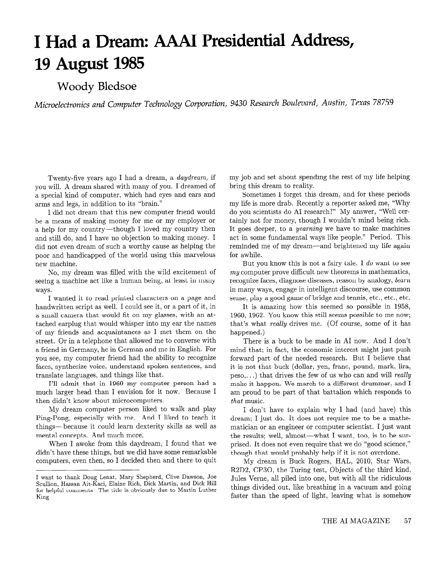## I Had a Dream: AAAI Presidential Address, 19 August 1985

## Woody Bledsoe

Microelectronics and Computer Technology Corporation, 9430 Research Boulevard, Austin, Texas 78759

Twenty-five years ago I had a dream, a daydream, if you will. A dream shared with many of you. I dreamed of a special kind of computer, which had eyes and ears and arms and legs, in addition to its "brain."

I did not dream that this new computer friend would be a means of making money for me or my employer or a help for my country-though I loved my country then and still do, and I have no objection to making money. I did not even dream of such a worthy cause as helping the poor and handicapped of the world using this marvelous new machine.

No, my dream was filled with the wild excitement of seeing a machine act like a human being, at least in many ways.

I wanted it to read printed characters on a page and handwritten script as well. I could see it, or a part of it, in a small camera that would fit on my glasses, with an attached earplug that would whisper into my ear the names of my friends and acquaintances as I met them on the street. Or in a telephone that allowed me to converse with a friend in Germany, he in German and me in English. For you see, my computer friend had the ability to recognize faces, synthesize voice, understand spoken sentences, and translate languages, and things like that.

1'11 admit that in 1960 my computer person had a much larger head than I envision for it now. Because I then didn't know about microcomputers.

My dream computer person liked to walk and play Ping-Pong, especially with me. And I liked to teach it things-because it could learn dexterity skills as well as mental concepts. And much more.

When I awoke from this daydream, I found that we didn't have these things, but we did have some remarkable computers, even then, so I decided then and there to quit my job and set about spending the rest of my life helping bring this dream to reality.

Sometimes I forget this dream, and for these periods my life is more drab. Recently a reporter asked me, "Why do you scientists do AI research?" My answer, "Well certainly not for money, though I wouldn't mind being rich. It goes deeper, to a yearning we have to make machines act in some fundamental ways like people." Period. This reminded me of my dream-and brightened my life again for awhile.

But you know this is not a fairy tale. I do want to see  $my$  computer prove difficult new theorems in mathematics, recognize faces, diagnose diseases, reason by analogy, learn in many ways, engage in intelligent discourse, use common sense, play a good game of bridge and tennis, etc., etc., etc.

It is amazing how this seemed so possible in 1958, 1960, 1962. You know this still seems possible to me now; that's what really drives me. (Of course, some of it has happened.)

There is a buck to be made in AI now. And I don't mind that; in fact, the economic interest might just push forward part of the needed research. But I believe that it is not that buck (dollar, yen, franc, pound, mark, lira,  $peso,...)$  that drives the few of us who can and will really make it happen. We march to a different drummer, and I am proud to be part of that battalion which responds to that music.

I don't have to explain why I had (and have) this dream; I just do. It does not require me to be a mathematician or an engineer or computer scientist. I just want the results; well, almost-what I want, too, is to be surprised. It does not even require that we do "good science," though that would probably help if it is not overdone.

My dream is Buck Rogers, HAL, 2010, Star Wars, R2D2, CP30, the Turing test, Objects of the third kind, Jules Verne, all piled into one, but with all the ridiculous things divided out, like breathing in a vacuum and going faster than the speed of light, leaving what is somehow

I want to thank Doug Lenat, Mary Shepherd, Clive Dawson, Joe Scullion. Hassan Ait-Kaci. Elaine Rich, Dick Martin, and Dick Hill for helpful comments The title is obviously due to Martin Luther King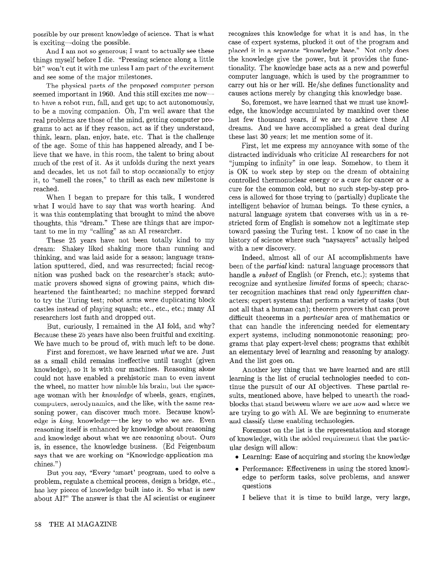possible by our present knowledge of science. That is what is exciting-doing the possible.

And I am not so generous; I want to actually see these things myself before I die. "Pressing science along a little bit" won't cut it with me unless I am part of the excitement and see some of the major milestones.

The physical parts of the proposed computer person seemed important in 1960. And this still excites me nowto have a robot run, fall, and get up; to act autonomously, to be a moving companion. Oh; I'm well aware that the real problems are those of the mind, getting computer programs to act as if they reason, act as if they understand, think, learn, plan, enjoy, hate, etc. That is the challenge of the age. Some of this has happened already, and I believe that we have, in this room, the talent to bring about much of the rest of it. As it unfolds during the next years and decades, let us not fail to stop occasionally to enjoy it, to "smell the roses," to thrill as each new milestone is reached.

When I began to prepare for this talk, I wondered what I would have to say that was worth hearing. And it was this contemplating that brought to mind the above thoughts, this "dream." These are things that are important to me in my "calling" as an AI researcher.

These 25 years have not been totally kind to my dream: Shakey liked shaking more than running and thinking, and was laid aside for a season; language translation sputtered, died, and was resurrected; facial recognition was pushed back on the researcher's stack; automatic provers showed signs of growing pains, which disheartened the fainthearted; no machine stepped forward to try the Turing test; robot arms were duplicating block castles instead of playing squash; etc., etc., etc.; many AI researchers lost faith and dropped out.

But, curiously, I remained in the AI fold, and why? Because these 25 years have also been fruitful and exciting. We have much to be proud of, with much left to be done.

First and foremost, we have learned what we are. Just as a small child remains ineffective until taught (given knowledge), so it is with our machines. Reasoning alone could not have enabled a prehistoric man to even invent the wheel, no matter how nimble his brain, but the spaceage woman with her knowledge of wheels, gears, engines, computers, aerodynamics, and the like, with the same reasoning power, can discover much more. Because knowledge is  $\text{king}$ ; knowledge—the key to who we are. Even reasoning itself is enhanced by knowledge about reasoning and knowledge about what we are reasoning about. Ours is, in essence, the knowledge business. (Ed Feigenbaum says that we are working on "Knowledge-application machines.")

But you say, "Every 'smart' program, used to solve a problem, regulate a chemical process, design a bridge, etc., has key pieces of knowledge built into it. So what is new about AI?" The answer is that the AI scientist or engineer recognizes this knowledge for what it is and has, in the case of expert systems, plucked it out of the program and placed it in a separate "knowledge base." Not only does the knowledge give the power, but it provides the functionality. The knowledge base acts as a new and powerful computer language, which is used by the programmer to carry out his or her will. He/she defines functionality and causes actions merely by changing this knowledge base.

So, foremost, we have learned that we must use knowledge, the knowledge accumulated by mankind over these last few thousand years, if we are to achieve these AI dreams. And we have accomplished a great deal during these last 30 years; let me mention some of it.

First, let me express my annoyance with some of the distracted individuals who criticize AI researchers for not "jumping to infinity" in one leap. Somehow, to them it is OK to work step by step on the dream of obtaining controlled thermonuclear energy or a cure for cancer or a cure for the common cold, but no such step-by-step process is allowed for those trying to (partially) duplicate the intelligent behavior of human beings. To these cynics, a natural language system that converses with us in a restricted form of English is somehow not a legitimate step toward passing the Turing test. I know of no case in the history of science where such "naysayers" actually helped with a new discovery.

Indeed, almost all of our AI accomplishments have been of the partial kind: natural language processors that handle a *subset* of English (or French, etc.); systems that recognize and synthesize limited forms of speech; character recognition machines that read only typewritten characters; expert systems that perform a variety of tasks (but not all that a human can); theorem provers that can prove difficult theorems in a particular area of mathematics or that can handle the inferencing needed for elementary expert systems, including nonmonotonic reasoning; programs that play expert-level chess; programs that exhibit an elementary level of learning and reasoning by analogy. And the list goes on.

Another key thing that we have learned and are still learning is the list of crucial technologies needed to continue the pursuit of our AI objectives. These partial results, mentioned above, have helped to unearth the roadblocks that stand between where we are now and where we are trying to go with AI. We are beginning to enumerate and classify these enabling technologies.

Foremost on the list is the representation and storage of knowledge, with the added requirement that the particular design will allow:

- $\bullet$  Learning: Ease of acquiring and storing the knowledge
- Performance: Effectiveness in using the stored knowledge to perform tasks, solve problems, and answer questions

I believe that it is time to build large, very large,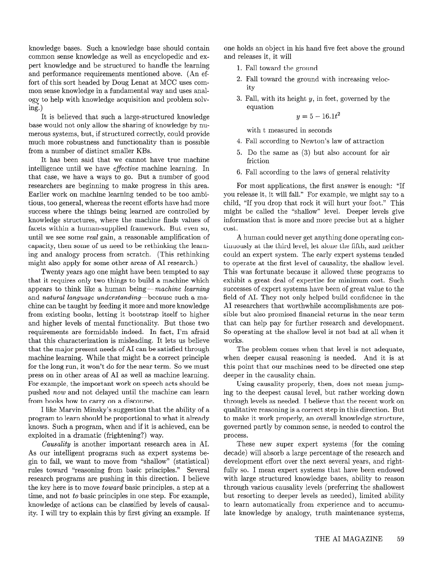knowledge bases. Such a knowledge base should contain common sense knowledge as well as encyclopedic and expert knowledge and be structured to handle the learning and performance requirements mentioned above. (An effort of this sort headed by Doug Lenat at MCC uses common sense knowledge in a fundamental way and uses analogy to help with knowledge acquisition and problem solving.)

It is believed that such a large-structured knowledge base would not only allow the sharing of knowledge by numerous systems, but, if structured correctly, could provide much more robustness and functionality than is possible from a number of distinct smaller KBs.

It has been said that we cannot have true machine intelligence until we have *effective* machine learning. In that case, we have a ways to go. But a number of good researchers are beginning to make progress in this area. Earlier work on machine learning tended to be too ambitious, too general, whereas the recent efforts have had more success where the things being learned are controlled by knowledge structures, where the machine finds values of facets within a human-supplied framework. But even so, until we see some real gain, a reasonable amplification of capacity, then some of us need to be rethinking the learning and analogy process from scratch. (This rethinking might also apply for some other areas of AI research.)

Twenty years ago one might have been tempted to say that it requires only two things to build a machine which appears to think like a human being—machine learning and natural language understanding-because such a machine can be taught by feeding it more and more knowledge from existing books, letting it bootstrap itself to higher and higher levels of mental functionality. But those two requirements are formidable indeed. In fact, I'm afraid that this characterization is misleading. It lets us believe that the major present needs of AI can be satisfied through machine learning. While that might be a correct principle for the long run, it won't do for the near term. So we must press on in other areas of AI as well as machine learning. For example, the important work on speech acts should be pushed now and not delayed until the machine can learn from books how to carry on a discourse.

I like Marvin Minsky's suggestion that the ability of a program to learn should be proportional to what it already knows. Such a program, when and if it is achieved, can be exploited in a dramatic (frightening?) way.

As our intelligent programs such as expert systems be- decade) will absorb a large percentage of the research and gin to fail, we want to move from %hallow" (statistical) development effort over the next several years, and rightrules toward "reasoning from basic principles." Several fully so. I mean expert systems that have been endowed research programs are pushing in this direction. I believe with large structured knowledge bases, ability to reason the key here is to move *toward* basic principles, a step at a through various causality levels (preferring the shallowest time, and not to basic principles in one step. For example, but resorting to deeper levels as needed), limited ability knowledge of actions can be classified by levels of causal- to learn automatically from experience and to accumuity. I will try to explain this by first giving an example. If late knowledge by analogy, truth maintenance systems,

one holds an object in his hand five feet above the ground and releases it, it will

- 1. Fall toward the ground
- 2. Fall toward the ground with increasing velocity
- 3. Fall, with its height y, in feet, governed by the equation

$$
y = 5 - 16.1t^2
$$

with t measured in seconds

- 4. Fall according to Newton's law of attraction
- 5. Do the same as (3) but also account for air friction
- 6. Fall according to the laws of general relativity

For most applications, the first answer is enough: "If you release it, it will fall." For example, we might say to a child, "If you drop that rock it will hurt your foot." This might be called the "shallow" level. Deeper levels give information that is more and more precise but at a higher cost.

A human could never get anything done operating continuously at the third level, let alone the fifth, and neither could an expert system. The early expert systems tended to operate at the first level of causality, the shallow level. This was fortunate because it allowed these programs to exhibit a great deal of expertise for minimum cost. Such successes of expert systems have been of great value to the field of AI. They not only helped build confidence in the AI researchers that worthwhile accomplishments are possible but also promised financial returns in the near term that can help pay for further research and development. So operating at the shallow level is not bad at all when it works.

The problem comes when that level is not adequate, when deeper causal reasoning is needed. And it is at this point that our machines need to be directed one step deeper in the causality chain.

Using causality properly, then, does not mean jumping to the deepest causal level, but rather working down through levels as needed. I believe that the recent work on qualitative reasoning is a correct step in this direction. But to make it work properly, an overall knowledge structure, governed partly by common sense, is needed to control the process.

Causality is another important research area in AI. These new super expert systems (for the coming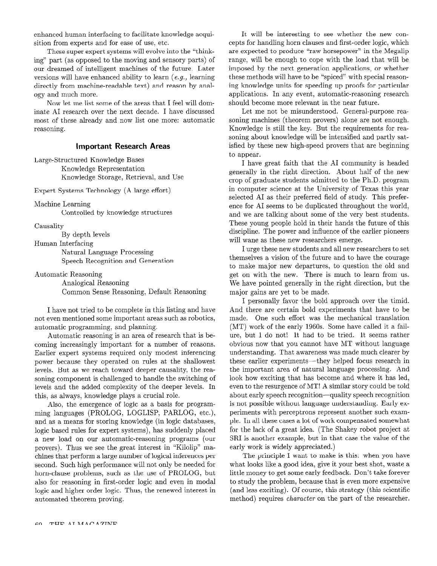enhanced human interfacing to facilitate knowledge acquisition from experts and for ease of use, etc.

These super expert systems will evolve into the "thinking" part (as opposed to the moving and sensory parts) of our dreamed of intelligent machines of the future. Later versions will have enhanced ability to learn (e.g., learning directly from machine-readable text) and reason by analogy and much more.

Now let me list some of the areas that I feel will dominate AI research over the next decade. I have discussed most of these already and now list one more: automatic reasoning.

## Important Research Areas

Large-Structured Knowledge Bases Knowledge Representation Knowledge Storage, Retrieval, and Use

Expert Systems Technology (A large effort)

Machine Learning

Controlled by knowledge structures

Causality

By depth levels

Human Interfacing

Natural Language Processing Speech Recognition and Generation

Automatic Reasoning

Analogical Reasoning Common Sense Reasoning, Default Reasoning

I have not tried to be complete in this listing and have not even mentioned some important areas such as robotics, automatic programming, and planning.

Automatic reasoning is an area of research that is becoming increasingly important for a number of reasons. Earlier expert systems required only modest inferencing power because they operated on rules at the shallowest levels. But as we reach toward deeper causality, the reasoning component is challenged to handle the switching of levels and the added complexity of the deeper levels. In this, as always, knowledge plays a crucial role.

Also, the emergence of logic as a basis for programming languages (PROLOG, LOGLISP, PARLOG, etc.), and as a means for storing knowledge (in logic databases, logic based rules for expert systems), has suddenly placed a new load on our automatic-reasoning programs (our provers). Thus we see the great interest in "Kilolip" machines that perform a large number of logical inferences per second. Such high performance will not only be needed for horn-clause problems, such as the use of PROLOG, but also for reasoning in first-order logic and even in modal logic and higher order logic. Thus, the renewed interest in automated theorem proving.

It will be interesting to see whether the new concepts for handling horn clauses and first-order logic, which are expected to produce "raw horsepower" in the Megalip range, will be enough to cope with the load that will be imposed by the next generation applications, or whether these methods will have to be "spiced" with special reasoning knowledge units for speeding up proofs for particular applications. In any event, automatic-reasoning research should become more relevant in the near future.

Let me not be misunderstood. General-purpose reasoning machines (theorem provers) alone are not enough. Knowledge is still the key. But the requirements for reasoning about knowledge will be intensified and partly satisfied by these new high-speed provers that are beginning to appear.

I have great faith that the AI community is headed generally in the right direction. About half of the new crop of graduate students admitted to the Ph.D. program in computer science at the University of Texas this year selected AI as their preferred field of study. This preference for AI seems to be duplicated throughout the world, and we are talking about some of the very best students. These young people hold in their hands the future of this discipline. The power and influence of the earlier pioneers will wane as these new researchers emerge.

I urge these new students and all new researchers to set themselves a vision of the future and to have the courage to make major new departures, to question the old and get on with the new. There is much to learn from us. We have pointed generally in the right direction, but the major gains are yet to be made.

I personally favor the bold approach over the timid. And there are certain bold experiments that have to be made. One such effort was the mechanical translation (MT) work of the early 1960s. Some have called it a failure, but I do not! It had to be tried. It seems rather obvious now that you cannot have MT without language understanding. That awareness was made much clearer by these earlier experiments—they helped focus research in the important area of natural language processing. And look how exciting that has become and where it has led, even to the resurgence of MT! A similar story could be told about early speech recognition-quality speech recognition is not possible without language understanding. Early experiments with perceptrons represent another such example. In all these cases a lot of work compensated somewhat for the lack of a great idea. (The Shakey robot project at SRI is another example, but in that case the value of the early work is widely appreciated.)

The principle I want to make is this: when you have what looks like a good idea, give it your best shot, waste a little money to get some early feedback. Don't take forever to study the problem, because that is even more expensive (and less exciting). Of course, this strategy (this scientific method) requires *character* on the part of the researcher.